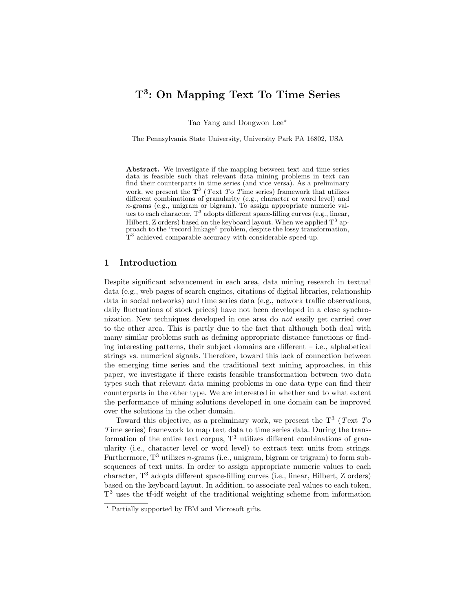# T<sup>3</sup>: On Mapping Text To Time Series

Tao Yang and Dongwon Lee\*

The Pennsylvania State University, University Park PA 16802, USA

Abstract. We investigate if the mapping between text and time series data is feasible such that relevant data mining problems in text can find their counterparts in time series (and vice versa). As a preliminary work, we present the  $\mathbf{T}^3$  (*Text To Time series*) framework that utilizes different combinations of granularity (e.g., character or word level) and n-grams (e.g., unigram or bigram). To assign appropriate numeric values to each character,  $T^3$  adopts different space-filling curves (e.g., linear, Hilbert, Z orders) based on the keyboard layout. When we applied  $T^3$  approach to the "record linkage" problem, despite the lossy transformation, T<sup>3</sup> achieved comparable accuracy with considerable speed-up.

### 1 Introduction

Despite significant advancement in each area, data mining research in textual data (e.g., web pages of search engines, citations of digital libraries, relationship data in social networks) and time series data (e.g., network traffic observations, daily fluctuations of stock prices) have not been developed in a close synchronization. New techniques developed in one area do not easily get carried over to the other area. This is partly due to the fact that although both deal with many similar problems such as defining appropriate distance functions or finding interesting patterns, their subject domains are different – i.e., alphabetical strings vs. numerical signals. Therefore, toward this lack of connection between the emerging time series and the traditional text mining approaches, in this paper, we investigate if there exists feasible transformation between two data types such that relevant data mining problems in one data type can find their counterparts in the other type. We are interested in whether and to what extent the performance of mining solutions developed in one domain can be improved over the solutions in the other domain.

Toward this objective, as a preliminary work, we present the  $\mathbf{T}^3$  (Text To Time series) framework to map text data to time series data. During the transformation of the entire text corpus,  $T<sup>3</sup>$  utilizes different combinations of granularity (i.e., character level or word level) to extract text units from strings. Furthermore,  $T^3$  utilizes *n*-grams (i.e., unigram, bigram or trigram) to form subsequences of text units. In order to assign appropriate numeric values to each character,  $T^3$  adopts different space-filling curves (i.e., linear, Hilbert, Z orders) based on the keyboard layout. In addition, to associate real values to each token, T <sup>3</sup> uses the tf-idf weight of the traditional weighting scheme from information

<sup>?</sup> Partially supported by IBM and Microsoft gifts.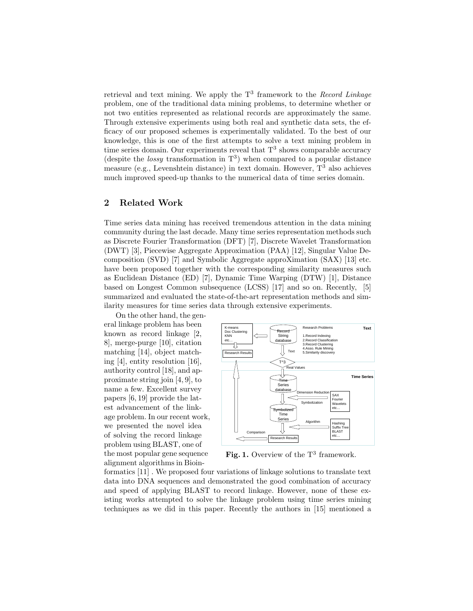retrieval and text mining. We apply the  $T<sup>3</sup>$  framework to the *Record Linkage* problem, one of the traditional data mining problems, to determine whether or not two entities represented as relational records are approximately the same. Through extensive experiments using both real and synthetic data sets, the efficacy of our proposed schemes is experimentally validated. To the best of our knowledge, this is one of the first attempts to solve a text mining problem in time series domain. Our experiments reveal that  $T^3$  shows comparable accuracy (despite the *lossy* transformation in  $T^3$ ) when compared to a popular distance measure (e.g., Levenshtein distance) in text domain. However,  $T^3$  also achieves much improved speed-up thanks to the numerical data of time series domain.

## 2 Related Work

Time series data mining has received tremendous attention in the data mining community during the last decade. Many time series representation methods such as Discrete Fourier Transformation (DFT) [7], Discrete Wavelet Transformation (DWT) [3], Piecewise Aggregate Approximation (PAA) [12], Singular Value Decomposition (SVD) [7] and Symbolic Aggregate approXimation (SAX) [13] etc. have been proposed together with the corresponding similarity measures such as Euclidean Distance (ED) [7], Dynamic Time Warping (DTW) [1], Distance based on Longest Common subsequence (LCSS) [17] and so on. Recently, [5] summarized and evaluated the state-of-the-art representation methods and similarity measures for time series data through extensive experiments.

On the other hand, the general linkage problem has been known as record linkage [2, 8], merge-purge [10], citation matching [14], object matching [4], entity resolution [16], authority control [18], and approximate string join [4, 9], to name a few. Excellent survey papers [6, 19] provide the latest advancement of the linkage problem. In our recent work, we presented the novel idea of solving the record linkage problem using BLAST, one of the most popular gene sequence alignment algorithms in Bioin-



Fig. 1. Overview of the  $T^3$  framework.

formatics [11] . We proposed four variations of linkage solutions to translate text data into DNA sequences and demonstrated the good combination of accuracy and speed of applying BLAST to record linkage. However, none of these existing works attempted to solve the linkage problem using time series mining techniques as we did in this paper. Recently the authors in [15] mentioned a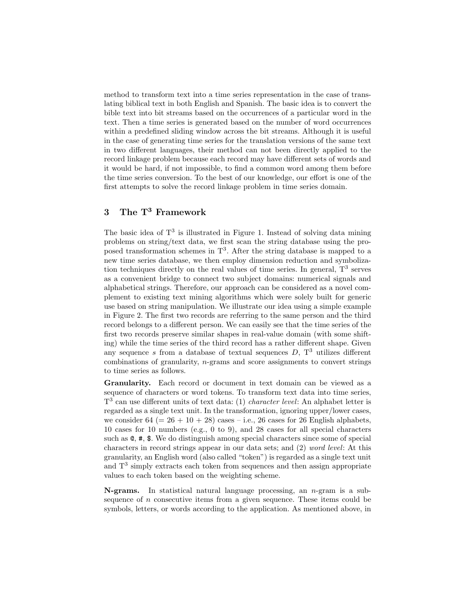method to transform text into a time series representation in the case of translating biblical text in both English and Spanish. The basic idea is to convert the bible text into bit streams based on the occurrences of a particular word in the text. Then a time series is generated based on the number of word occurrences within a predefined sliding window across the bit streams. Although it is useful in the case of generating time series for the translation versions of the same text in two different languages, their method can not been directly applied to the record linkage problem because each record may have different sets of words and it would be hard, if not impossible, to find a common word among them before the time series conversion. To the best of our knowledge, our effort is one of the first attempts to solve the record linkage problem in time series domain.

# 3 The T<sup>3</sup> Framework

The basic idea of  $T^3$  is illustrated in Figure 1. Instead of solving data mining problems on string/text data, we first scan the string database using the proposed transformation schemes in  $T<sup>3</sup>$ . After the string database is mapped to a new time series database, we then employ dimension reduction and symbolization techniques directly on the real values of time series. In general,  $T<sup>3</sup>$  serves as a convenient bridge to connect two subject domains: numerical signals and alphabetical strings. Therefore, our approach can be considered as a novel complement to existing text mining algorithms which were solely built for generic use based on string manipulation. We illustrate our idea using a simple example in Figure 2. The first two records are referring to the same person and the third record belongs to a different person. We can easily see that the time series of the first two records preserve similar shapes in real-value domain (with some shifting) while the time series of the third record has a rather different shape. Given any sequence s from a database of textual sequences  $D$ ,  $T^3$  utilizes different combinations of granularity,  $n$ -grams and score assignments to convert strings to time series as follows.

Granularity. Each record or document in text domain can be viewed as a sequence of characters or word tokens. To transform text data into time series,  $T<sup>3</sup>$  can use different units of text data: (1) *character level*: An alphabet letter is regarded as a single text unit. In the transformation, ignoring upper/lower cases, we consider  $64 (= 26 + 10 + 28)$  cases – i.e., 26 cases for 26 English alphabets, 10 cases for 10 numbers (e.g., 0 to 9), and 28 cases for all special characters such as @, #, \$. We do distinguish among special characters since some of special characters in record strings appear in our data sets; and (2) word level: At this granularity, an English word (also called "token") is regarded as a single text unit and  $T<sup>3</sup>$  simply extracts each token from sequences and then assign appropriate values to each token based on the weighting scheme.

**N-grams.** In statistical natural language processing, an *n*-gram is a subsequence of  $n$  consecutive items from a given sequence. These items could be symbols, letters, or words according to the application. As mentioned above, in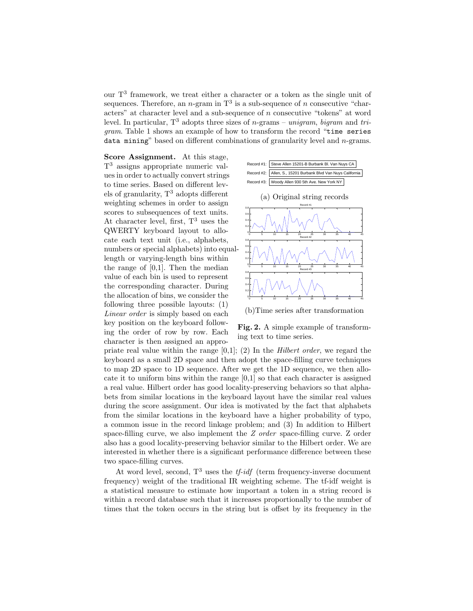our T<sup>3</sup> framework, we treat either a character or a token as the single unit of sequences. Therefore, an *n*-gram in  $T^3$  is a sub-sequence of *n* consecutive "characters" at character level and a sub-sequence of n consecutive "tokens" at word level. In particular,  $T^3$  adopts three sizes of *n*-grams – unigram, bigram and trigram. Table 1 shows an example of how to transform the record "time series data mining" based on different combinations of granularity level and  $n$ -grams.

Score Assignment. At this stage, T <sup>3</sup> assigns appropriate numeric values in order to actually convert strings to time series. Based on different levels of granularity,  $T^3$  adopts different weighting schemes in order to assign scores to subsequences of text units. At character level, first,  $T^3$  uses the QWERTY keyboard layout to allocate each text unit (i.e., alphabets, numbers or special alphabets) into equallength or varying-length bins within the range of  $[0,1]$ . Then the median value of each bin is used to represent the corresponding character. During the allocation of bins, we consider the following three possible layouts: (1) Linear order is simply based on each key position on the keyboard following the order of row by row. Each character is then assigned an appro-





(b)Time series after transformation

Fig. 2. A simple example of transforming text to time series.

priate real value within the range  $[0,1]$ ; (2) In the *Hilbert order*, we regard the keyboard as a small 2D space and then adopt the space-filling curve techniques to map 2D space to 1D sequence. After we get the 1D sequence, we then allocate it to uniform bins within the range  $[0,1]$  so that each character is assigned a real value. Hilbert order has good locality-preserving behaviors so that alphabets from similar locations in the keyboard layout have the similar real values during the score assignment. Our idea is motivated by the fact that alphabets from the similar locations in the keyboard have a higher probability of typo, a common issue in the record linkage problem; and (3) In addition to Hilbert space-filling curve, we also implement the Z order space-filling curve. Z order also has a good locality-preserving behavior similar to the Hilbert order. We are interested in whether there is a significant performance difference between these two space-filling curves.

At word level, second,  $T^3$  uses the *tf-idf* (term frequency-inverse document frequency) weight of the traditional IR weighting scheme. The tf-idf weight is a statistical measure to estimate how important a token in a string record is within a record database such that it increases proportionally to the number of times that the token occurs in the string but is offset by its frequency in the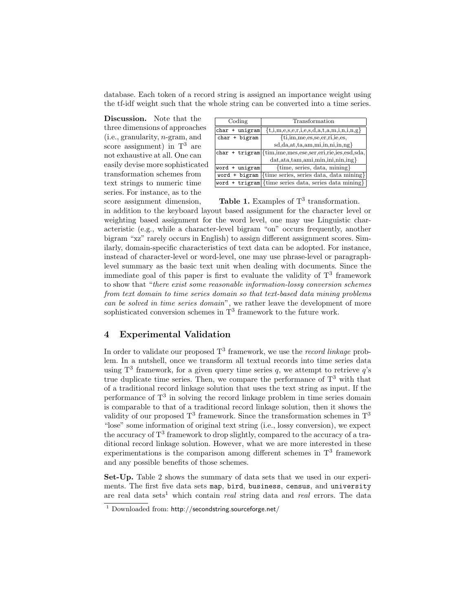database. Each token of a record string is assigned an importance weight using the tf-idf weight such that the whole string can be converted into a time series.

Discussion. Note that the three dimensions of approaches (i.e., granularity, n-gram, and score assignment) in  $T^3$  are not exhaustive at all. One can easily devise more sophisticated transformation schemes from text strings to numeric time series. For instance, as to the score assignment dimension,

| Coding           | Transformation                                                             |
|------------------|----------------------------------------------------------------------------|
| $char + unigram$ | $\{t,i,m,e,s,e,r,i,e,s,d,a,t,a,m,i,n,i,n,g\}$                              |
| $char + bigram$  | $\{t_i, im, me, es, se, er, ri, ie, es,$                                   |
|                  | $sd, da, at, ta, am, mi, in, ni, in, ng$                                   |
|                  | char + trigram {{tim, ime, mes, ese, ser, eri, rie, ies, esd, sda,         |
|                  | $dat,ata, tam,ami,min,ini,ni,ing\}$                                        |
| $word + unigram$ | ${time, series, data, mining}$                                             |
|                  | word + bigram  {time series, series data, data mining}                     |
|                  | word + trigram { $\{time \text{ series data}, \text{series data mining}\}$ |

Table 1. Examples of  $T<sup>3</sup>$  transformation.

in addition to the keyboard layout based assignment for the character level or weighting based assignment for the word level, one may use Linguistic characteristic (e.g., while a character-level bigram "on" occurs frequently, another bigram "xz" rarely occurs in English) to assign different assignment scores. Similarly, domain-specific characteristics of text data can be adopted. For instance, instead of character-level or word-level, one may use phrase-level or paragraphlevel summary as the basic text unit when dealing with documents. Since the immediate goal of this paper is first to evaluate the validity of  $T<sup>3</sup>$  framework to show that "there exist some reasonable information-lossy conversion schemes from text domain to time series domain so that text-based data mining problems can be solved in time series domain", we rather leave the development of more sophisticated conversion schemes in  $T^3$  framework to the future work.

#### 4 Experimental Validation

In order to validate our proposed  $T^3$  framework, we use the *record linkage* problem. In a nutshell, once we transform all textual records into time series data using  $T^3$  framework, for a given query time series q, we attempt to retrieve q's true duplicate time series. Then, we compare the performance of  $T<sup>3</sup>$  with that of a traditional record linkage solution that uses the text string as input. If the performance of  $T<sup>3</sup>$  in solving the record linkage problem in time series domain is comparable to that of a traditional record linkage solution, then it shows the validity of our proposed  $T^3$  framework. Since the transformation schemes in  $T^3$ "lose" some information of original text string (i.e., lossy conversion), we expect the accuracy of  $T^3$  framework to drop slightly, compared to the accuracy of a traditional record linkage solution. However, what we are more interested in these experimentations is the comparison among different schemes in  $T<sup>3</sup>$  framework and any possible benefits of those schemes.

Set-Up. Table 2 shows the summary of data sets that we used in our experiments. The first five data sets map, bird, business, census, and university are real data sets<sup>1</sup> which contain *real* string data and *real* errors. The data

<sup>&</sup>lt;sup>1</sup> Downloaded from: http://secondstring.sourceforge.net/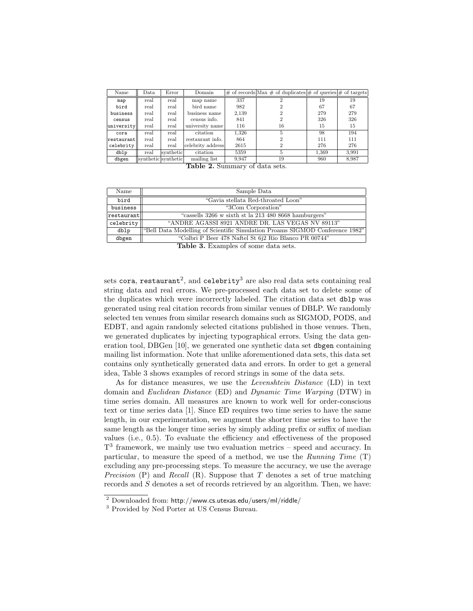| Name       | Data                | Error     | Domain            |       | $\#$ of records Max $\#$ of duplicates $\#$ of queries $\#$ of targets |       |       |
|------------|---------------------|-----------|-------------------|-------|------------------------------------------------------------------------|-------|-------|
| map        | real                | real      | map name          | 337   |                                                                        | 19    | 19    |
| bird       | real                | real      | bird name         | 982   |                                                                        | 67    | 67    |
| business   | real                | real      | business name     | 2,139 |                                                                        | 279   | 279   |
| census     | real                | real      | census info.      | 841   |                                                                        | 326   | 326   |
| university | real                | real      | university name   | 116   | 16                                                                     | 15    | 15    |
| cora       | real                | real      | citation          | 1.326 | 5                                                                      | 98    | 194   |
| restaurant | real                | real      | restaurant info.  | 864   |                                                                        | 111   | 111   |
| celebrity  | real                | real      | celebrity address | 2615  | 2                                                                      | 276   | 276   |
| dblp       | real                | synthetic | citation          | 5359  | 5                                                                      | 1.369 | 3.991 |
| dbgen      | synthetic synthetic |           | mailing list      | 9.947 | 19                                                                     | 960   | 8,987 |

Table 2. Summary of data sets.

| Name                 | Sample Data                                                                  |
|----------------------|------------------------------------------------------------------------------|
| bird                 | "Gavia stellata Red-throated Loon"                                           |
| business             | "3Com Corporation"                                                           |
| $ {\tt restaurant} $ | "cassells 3266 w sixth st la 213 480 8668 hamburgers"                        |
| celebrity            | "ANDRE AGASSI 8921 ANDRE DR. LAS VEGAS NV 89113"                             |
| dblp                 | "Bell Data Modelling of Scientific Simulation Proams SIGMOD Conference 1982" |
| dbgen                | "Colbri P Beer 478 Naftel St 6j2 Rio Blanco PR 00744"                        |

Table 3. Examples of some data sets.

sets cora, restaurant $^2$ , and celebrity $^3$  are also real data sets containing real string data and real errors. We pre-processed each data set to delete some of the duplicates which were incorrectly labeled. The citation data set dblp was generated using real citation records from similar venues of DBLP. We randomly selected ten venues from similar research domains such as SIGMOD, PODS, and EDBT, and again randomly selected citations published in those venues. Then, we generated duplicates by injecting typographical errors. Using the data generation tool, DBGen [10], we generated one synthetic data set dbgen containing mailing list information. Note that unlike aforementioned data sets, this data set contains only synthetically generated data and errors. In order to get a general idea, Table 3 shows examples of record strings in some of the data sets.

As for distance measures, we use the Levenshtein Distance (LD) in text domain and Euclidean Distance (ED) and Dynamic Time Warping (DTW) in time series domain. All measures are known to work well for order-conscious text or time series data [1]. Since ED requires two time series to have the same length, in our experimentation, we augment the shorter time series to have the same length as the longer time series by simply adding prefix or suffix of median values (i.e., 0.5). To evaluate the efficiency and effectiveness of the proposed T<sup>3</sup> framework, we mainly use two evaluation metrics – speed and accuracy. In particular, to measure the speed of a method, we use the Running Time  $(T)$ excluding any pre-processing steps. To measure the accuracy, we use the average Precision  $(P)$  and Recall  $(R)$ . Suppose that T denotes a set of true matching records and S denotes a set of records retrieved by an algorithm. Then, we have:

<sup>2</sup> Downloaded from: http://www.cs.utexas.edu/users/ml/riddle/

<sup>3</sup> Provided by Ned Porter at US Census Bureau.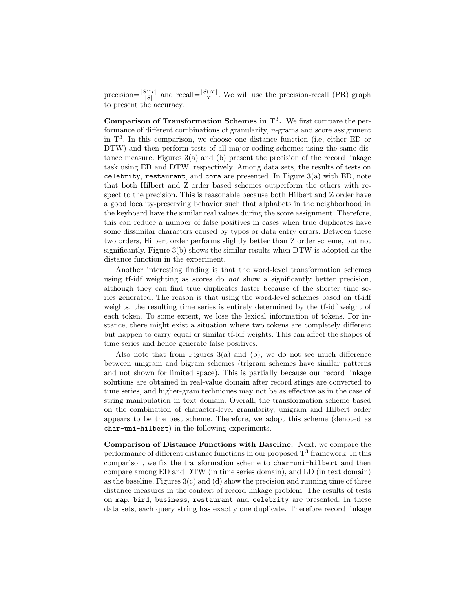precision= $\frac{|S\cap T|}{|S|}$  and recall= $\frac{|S\cap T|}{|T|}$ . We will use the precision-recall (PR) graph to present the accuracy.

Comparison of Transformation Schemes in  $\mathbf{T}^3$ . We first compare the performance of different combinations of granularity, n-grams and score assignment in T<sup>3</sup> . In this comparison, we choose one distance function (i.e, either ED or DTW) and then perform tests of all major coding schemes using the same distance measure. Figures  $3(a)$  and (b) present the precision of the record linkage task using ED and DTW, respectively. Among data sets, the results of tests on celebrity, restaurant, and cora are presented. In Figure  $3(a)$  with ED, note that both Hilbert and Z order based schemes outperform the others with respect to the precision. This is reasonable because both Hilbert and Z order have a good locality-preserving behavior such that alphabets in the neighborhood in the keyboard have the similar real values during the score assignment. Therefore, this can reduce a number of false positives in cases when true duplicates have some dissimilar characters caused by typos or data entry errors. Between these two orders, Hilbert order performs slightly better than Z order scheme, but not significantly. Figure 3(b) shows the similar results when DTW is adopted as the distance function in the experiment.

Another interesting finding is that the word-level transformation schemes using tf-idf weighting as scores do not show a significantly better precision, although they can find true duplicates faster because of the shorter time series generated. The reason is that using the word-level schemes based on tf-idf weights, the resulting time series is entirely determined by the tf-idf weight of each token. To some extent, we lose the lexical information of tokens. For instance, there might exist a situation where two tokens are completely different but happen to carry equal or similar tf-idf weights. This can affect the shapes of time series and hence generate false positives.

Also note that from Figures 3(a) and (b), we do not see much difference between unigram and bigram schemes (trigram schemes have similar patterns and not shown for limited space). This is partially because our record linkage solutions are obtained in real-value domain after record stings are converted to time series, and higher-gram techniques may not be as effective as in the case of string manipulation in text domain. Overall, the transformation scheme based on the combination of character-level granularity, unigram and Hilbert order appears to be the best scheme. Therefore, we adopt this scheme (denoted as char-uni-hilbert) in the following experiments.

Comparison of Distance Functions with Baseline. Next, we compare the performance of different distance functions in our proposed  $T^3$  framework. In this comparison, we fix the transformation scheme to char-uni-hilbert and then compare among ED and DTW (in time series domain), and LD (in text domain) as the baseline. Figures  $3(c)$  and (d) show the precision and running time of three distance measures in the context of record linkage problem. The results of tests on map, bird, business, restaurant and celebrity are presented. In these data sets, each query string has exactly one duplicate. Therefore record linkage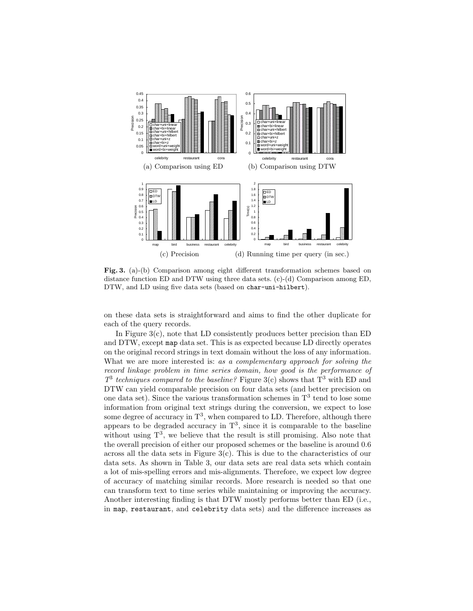

Fig. 3. (a)-(b) Comparison among eight different transformation schemes based on distance function ED and DTW using three data sets. (c)-(d) Comparison among ED, DTW, and LD using five data sets (based on char-uni-hilbert).

on these data sets is straightforward and aims to find the other duplicate for each of the query records.

In Figure  $3(c)$ , note that LD consistently produces better precision than ED and DTW, except map data set. This is as expected because LD directly operates on the original record strings in text domain without the loss of any information. What we are more interested is: as a complementary approach for solving the record linkage problem in time series domain, how good is the performance of  $T^3$  techniques compared to the baseline? Figure 3(c) shows that  $T^3$  with ED and DTW can yield comparable precision on four data sets (and better precision on one data set). Since the various transformation schemes in  $T^3$  tend to lose some information from original text strings during the conversion, we expect to lose some degree of accuracy in  $T^3$ , when compared to LD. Therefore, although there appears to be degraded accuracy in  $T^3$ , since it is comparable to the baseline without using  $T^3$ , we believe that the result is still promising. Also note that the overall precision of either our proposed schemes or the baseline is around 0.6 across all the data sets in Figure  $3(c)$ . This is due to the characteristics of our data sets. As shown in Table 3, our data sets are real data sets which contain a lot of mis-spelling errors and mis-alignments. Therefore, we expect low degree of accuracy of matching similar records. More research is needed so that one can transform text to time series while maintaining or improving the accuracy. Another interesting finding is that DTW mostly performs better than ED (i.e., in map, restaurant, and celebrity data sets) and the difference increases as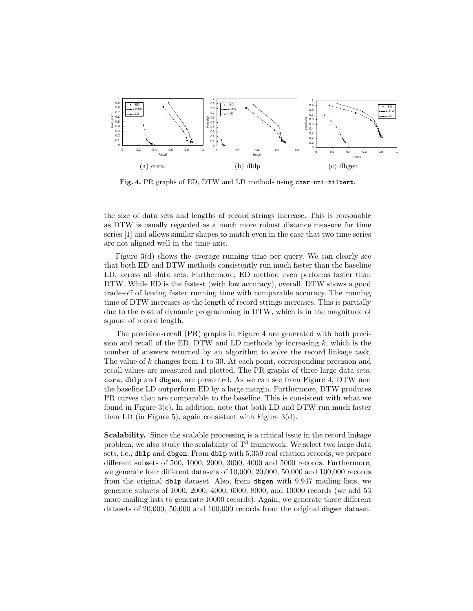

Fig. 4. PR graphs of ED, DTW and LD methods using char-uni-hilbert.

the size of data sets and lengths of record strings increase. This is reasonable as DTW is usually regarded as a much more robust distance measure for time series [1] and allows similar shapes to match even in the case that two time series are not aligned well in the time axis.

Figure 3(d) shows the average running time per query. We can clearly see that both ED and DTW methods consistently run much faster than the baseline LD, across all data sets. Furthermore, ED method even performs faster than DTW. While ED is the fastest (with low accuracy), overall, DTW shows a good trade-off of having faster running time with comparable accuracy. The running time of DTW increases as the length of record strings increases. This is partially due to the cost of dynamic programming in DTW, which is in the magnitude of square of record length.

The precision-recall (PR) graphs in Figure 4 are generated with both precision and recall of the ED, DTW and LD methods by increasing  $k$ , which is the number of answers returned by an algorithm to solve the record linkage task. The value of k changes from 1 to 30. At each point, corresponding precision and recall values are measured and plotted. The PR graphs of three large data sets, cora, dblp and dbgen, are presented. As we can see from Figure 4, DTW and the baseline LD outperform ED by a large margin. Furthermore, DTW produces PR curves that are comparable to the baseline. This is consistent with what we found in Figure 3(c). In addition, note that both LD and DTW run much faster than LD (in Figure 5), again consistent with Figure 3(d).

Scalability. Since the scalable processing is a critical issue in the record linkage problem, we also study the scalability of  $T^3$  framework. We select two large data sets, i.e., dblp and dbgen. From dblp with 5,359 real citation records, we prepare different subsets of 500, 1000, 2000, 3000, 4000 and 5000 records. Furthermore, we generate four different datasets of 10,000, 20,000, 50,000 and 100,000 records from the original dblp dataset. Also, from dbgen with 9,947 mailing lists, we generate subsets of 1000, 2000, 4000, 6000, 8000, and 10000 records (we add 53 more mailing lists to generate 10000 records). Again, we generate three different datasets of 20,000, 50,000 and 100,000 records from the original dbgen dataset.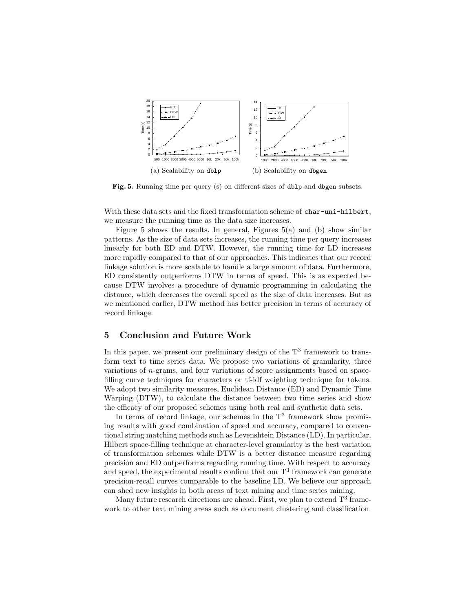

Fig. 5. Running time per query (s) on different sizes of dblp and dbgen subsets.

With these data sets and the fixed transformation scheme of char-uni-hilbert, we measure the running time as the data size increases.

Figure 5 shows the results. In general, Figures 5(a) and (b) show similar patterns. As the size of data sets increases, the running time per query increases linearly for both ED and DTW. However, the running time for LD increases more rapidly compared to that of our approaches. This indicates that our record linkage solution is more scalable to handle a large amount of data. Furthermore, ED consistently outperforms DTW in terms of speed. This is as expected because DTW involves a procedure of dynamic programming in calculating the distance, which decreases the overall speed as the size of data increases. But as we mentioned earlier, DTW method has better precision in terms of accuracy of record linkage.

### 5 Conclusion and Future Work

In this paper, we present our preliminary design of the  $T<sup>3</sup>$  framework to transform text to time series data. We propose two variations of granularity, three variations of n-grams, and four variations of score assignments based on spacefilling curve techniques for characters or tf-idf weighting technique for tokens. We adopt two similarity measures, Euclidean Distance (ED) and Dynamic Time Warping (DTW), to calculate the distance between two time series and show the efficacy of our proposed schemes using both real and synthetic data sets.

In terms of record linkage, our schemes in the  $T<sup>3</sup>$  framework show promising results with good combination of speed and accuracy, compared to conventional string matching methods such as Levenshtein Distance (LD). In particular, Hilbert space-filling technique at character-level granularity is the best variation of transformation schemes while DTW is a better distance measure regarding precision and ED outperforms regarding running time. With respect to accuracy and speed, the experimental results confirm that our  $T<sup>3</sup>$  framework can generate precision-recall curves comparable to the baseline LD. We believe our approach can shed new insights in both areas of text mining and time series mining.

Many future research directions are ahead. First, we plan to extend  $T^3$  framework to other text mining areas such as document clustering and classification.